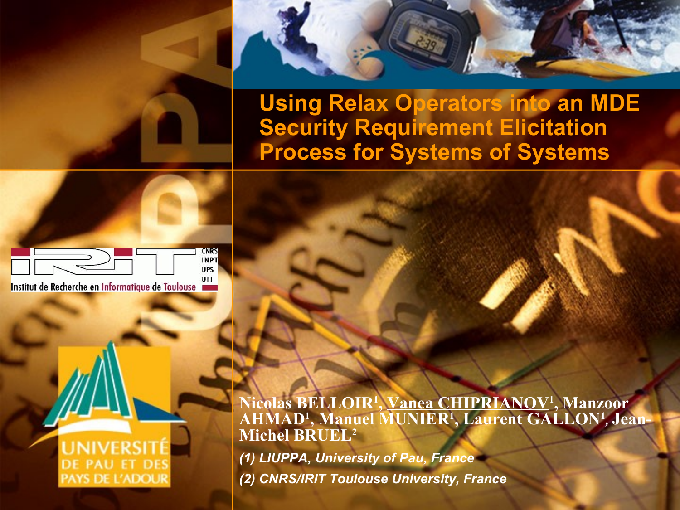

**Using Relax Operators into an MDE Security Requirement Elicitation Process for Systems of Systems**



Institut de Recherche en Informatique de Toulouse

#### **DE PAU ET DES PAYS DE L'ADOUR**

**Nicolas BELLOIR<sup>1</sup> , Vanea CHIPRIANOV<sup>1</sup> , Manzoor AHMAD<sup>1</sup> , Manuel MUNIER<sup>1</sup> , Laurent GALLON<sup>1</sup>** *,* **Jean-Michel BRUEL<sup>2</sup>**

*(1) LIUPPA, University of Pau, France (2) CNRS/IRIT Toulouse University, France*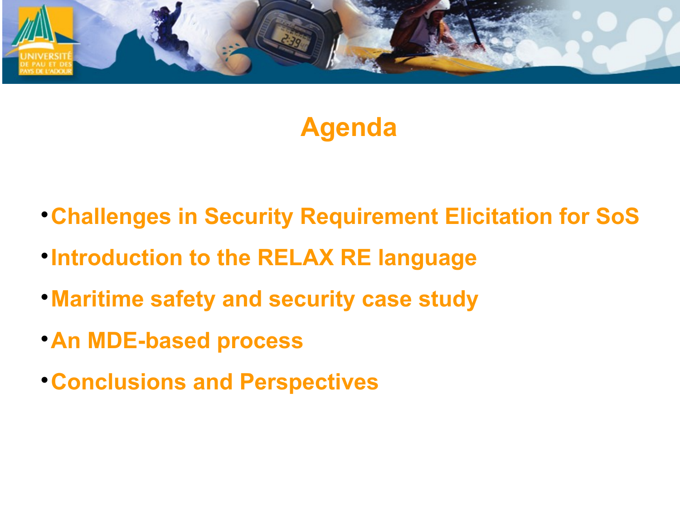

## **Agenda**

- **Challenges in Security Requirement Elicitation for SoS**
- **Introduction to the RELAX RE language**
- **Maritime safety and security case study**
- **An MDE-based process**
- **Conclusions and Perspectives**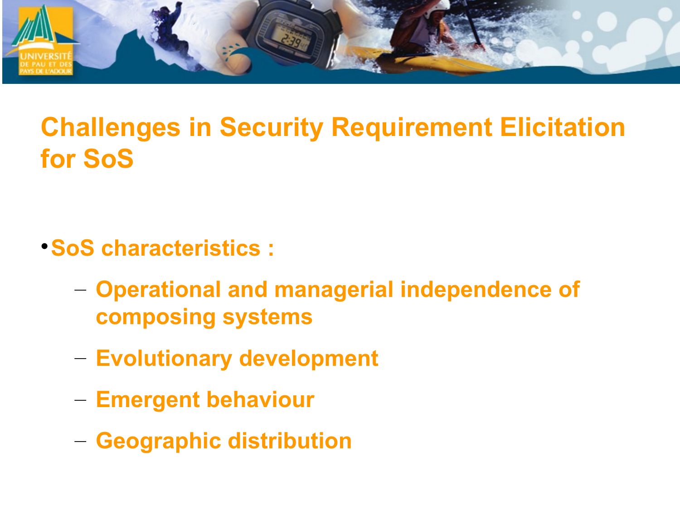

# **Challenges in Security Requirement Elicitation for SoS**

- **SoS characteristics :**
	- **Operational and managerial independence of composing systems**
	- **Evolutionary development**
	- **Emergent behaviour**
	- **Geographic distribution**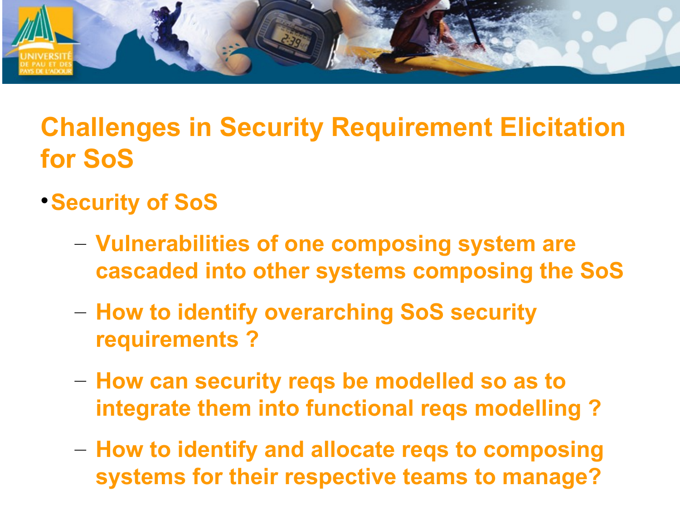

# **Challenges in Security Requirement Elicitation for SoS**

#### **Security of SoS**

- **Vulnerabilities of one composing system are cascaded into other systems composing the SoS**
- **How to identify overarching SoS security requirements ?**
- **How can security reqs be modelled so as to integrate them into functional reqs modelling ?**
- **How to identify and allocate reqs to composing systems for their respective teams to manage?**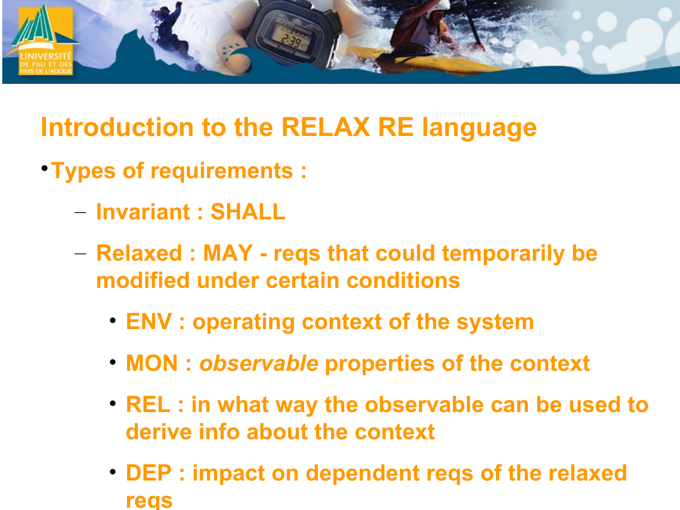

## **Introduction to the RELAX RE language**

- **Types of requirements :**
	- **Invariant : SHALL**
	- **Relaxed : MAY reqs that could temporarily be modified under certain conditions**
		- **ENV : operating context of the system**
		- **MON :** *observable* **properties of the context**
		- **REL : in what way the observable can be used to derive info about the context**
		- **DEP : impact on dependent reqs of the relaxed reqs**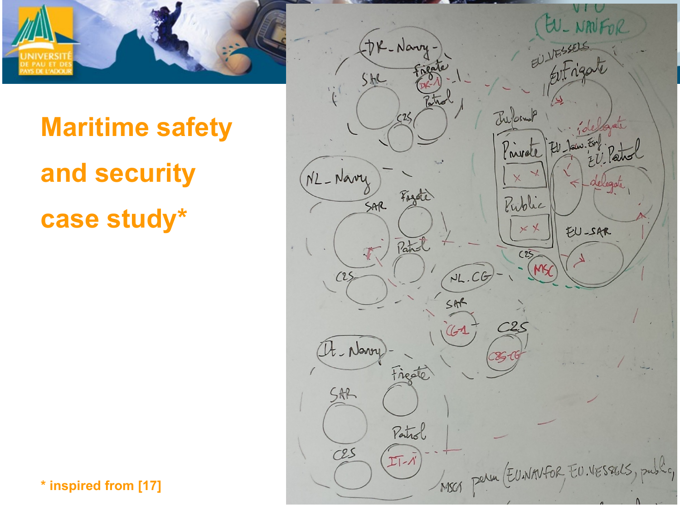



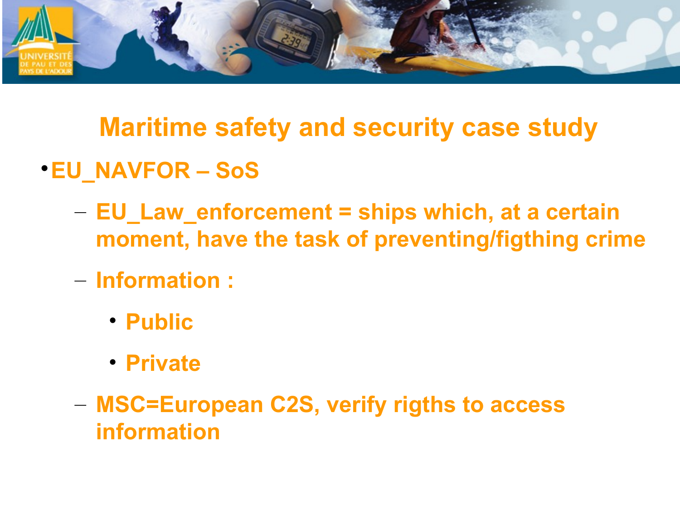

- **EU\_NAVFOR SoS**
	- **EU\_Law\_enforcement = ships which, at a certain moment, have the task of preventing/figthing crime**
	- **Information :**
		- **Public**
		- **Private**
	- **MSC=European C2S, verify rigths to access information**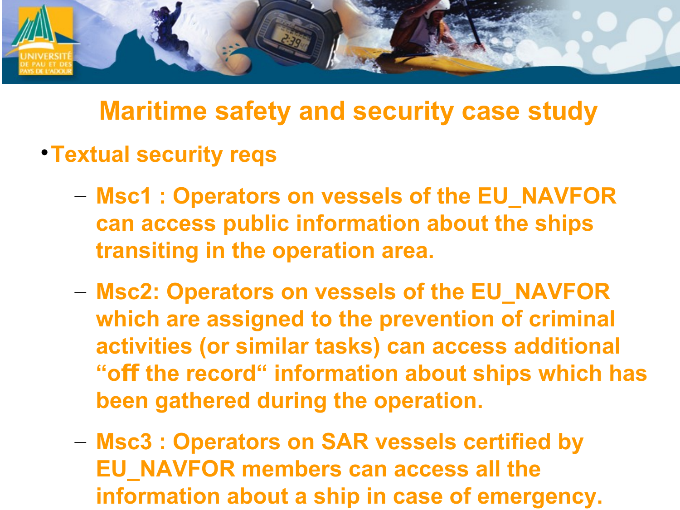

- **Textual security reqs**
	- **Msc1 : Operators on vessels of the EU\_NAVFOR can access public information about the ships transiting in the operation area.**
	- **Msc2: Operators on vessels of the EU\_NAVFOR which are assigned to the prevention of criminal activities (or similar tasks) can access additional**  "off the record" information about ships which has **been gathered during the operation.**
	- **Msc3 : Operators on SAR vessels certified by EU\_NAVFOR members can access all the information about a ship in case of emergency.**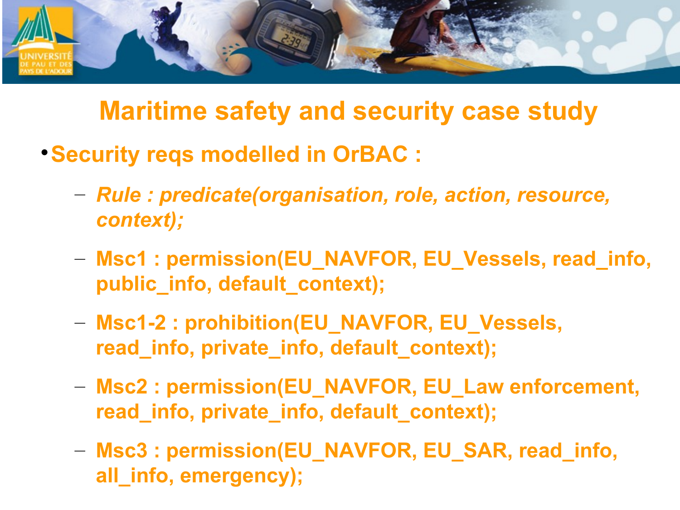

- **Security reqs modelled in OrBAC :**
	- *Rule : predicate(organisation, role, action, resource, context);*
	- **Msc1 : permission(EU\_NAVFOR, EU\_Vessels, read\_info, public\_info, default\_context);**
	- **Msc1-2 : prohibition(EU\_NAVFOR, EU\_Vessels, read\_info, private\_info, default\_context);**
	- **Msc2 : permission(EU\_NAVFOR, EU\_Law enforcement, read\_info, private\_info, default\_context);**
	- **Msc3 : permission(EU\_NAVFOR, EU\_SAR, read\_info, all\_info, emergency);**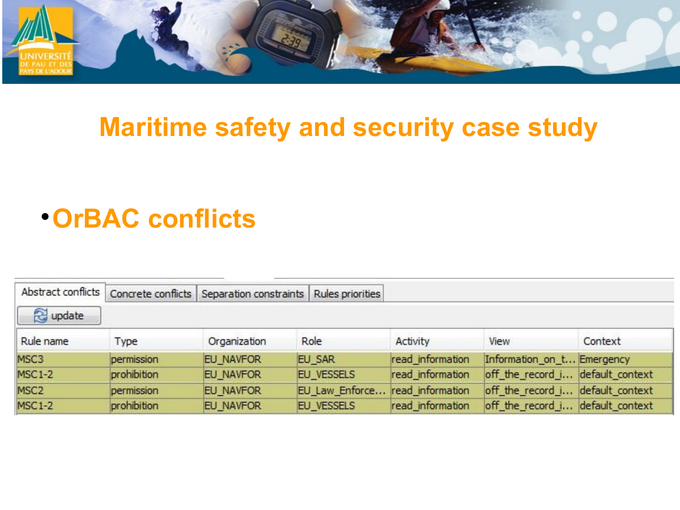

#### **OrBAC conflicts**

| Abstract conflicts |             | Concrete conflicts Separation constraints | Rules priorities  |                  |                                  |         |
|--------------------|-------------|-------------------------------------------|-------------------|------------------|----------------------------------|---------|
| a update           |             |                                           |                   |                  |                                  |         |
| Rule name          | Type        | Organization                              | Role              | Activity         | View                             | Context |
| MSC3               | permission  | <b>EU NAVFOR</b>                          | <b>EU SAR</b>     | read information | Information on t Emergency       |         |
| <b>MSC1-2</b>      | prohibition | <b>EU NAVFOR</b>                          | <b>EU_VESSELS</b> | read information | off_the_record_i default_context |         |
| MSC <sub>2</sub>   | permission  | <b>EU NAVFOR</b>                          | EU Law Enforce    | read information | off_the_record_i default_context |         |
| <b>MSC1-2</b>      | prohibition | <b>EU_NAVFOR</b>                          | <b>EU VESSELS</b> | read information | off_the_record_i default_context |         |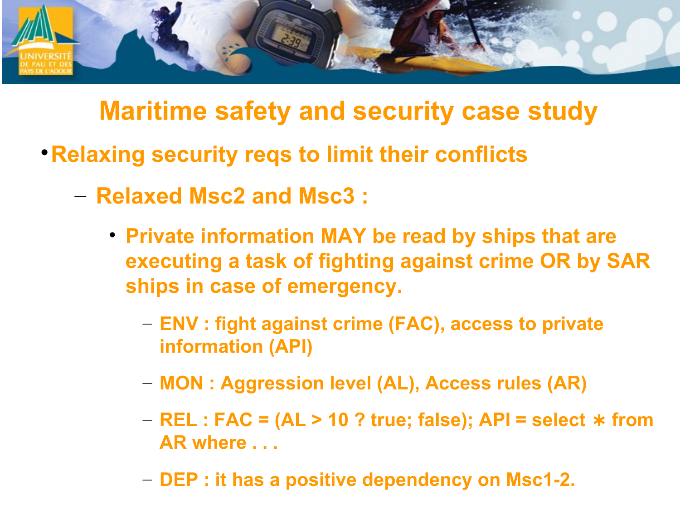

- **Relaxing security reqs to limit their conflicts**
	- **Relaxed Msc2 and Msc3 :**
		- **Private information MAY be read by ships that are executing a task of fighting against crime OR by SAR ships in case of emergency.**
			- **ENV : fight against crime (FAC), access to private information (API)**
			- **MON : Aggression level (AL), Access rules (AR)**
			- **− REL : FAC = (AL > 10 ? true; false); API = select**  $*$  **from AR where . . .**
			- **DEP : it has a positive dependency on Msc1-2.**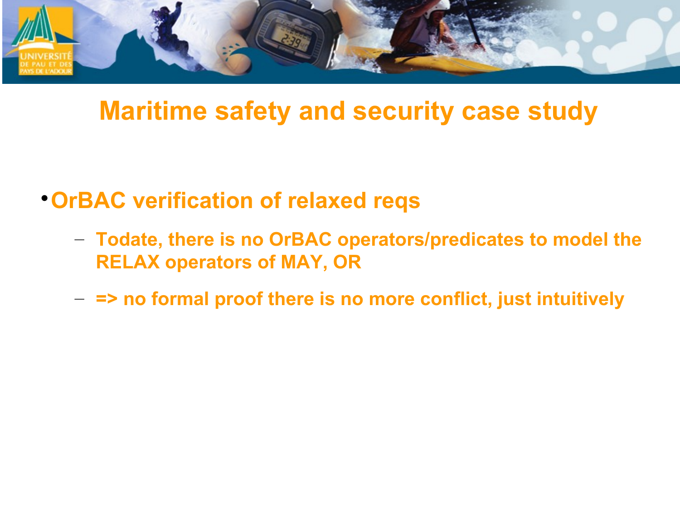

- **. OrBAC verification of relaxed reqs** 
	- Todate, there is no OrBAC operators/predicates to model the **RELAX operators of MAY, OR**
	- $-$  => no formal proof there is no more conflict, just intuitively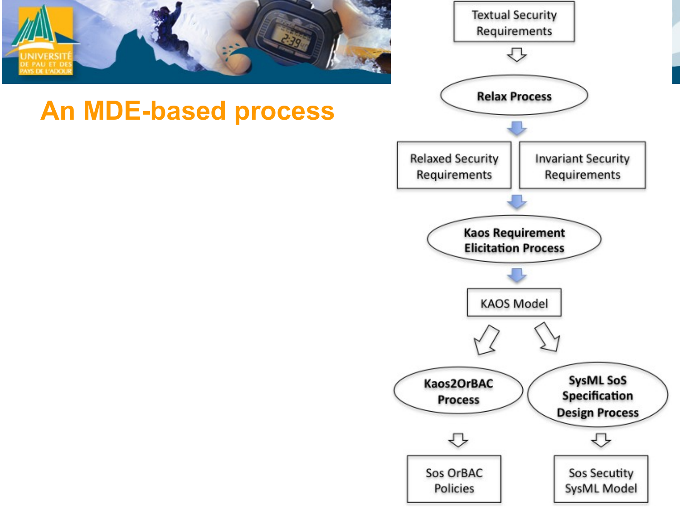

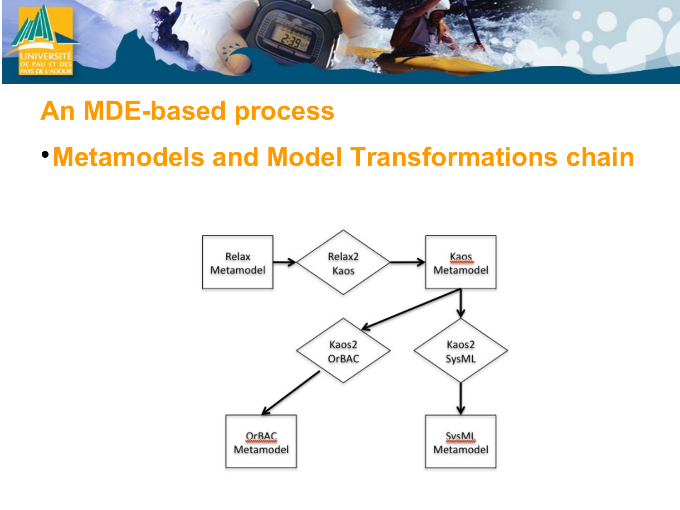

#### **An MDE-based process**

**. Metamodels and Model Transformations chain**